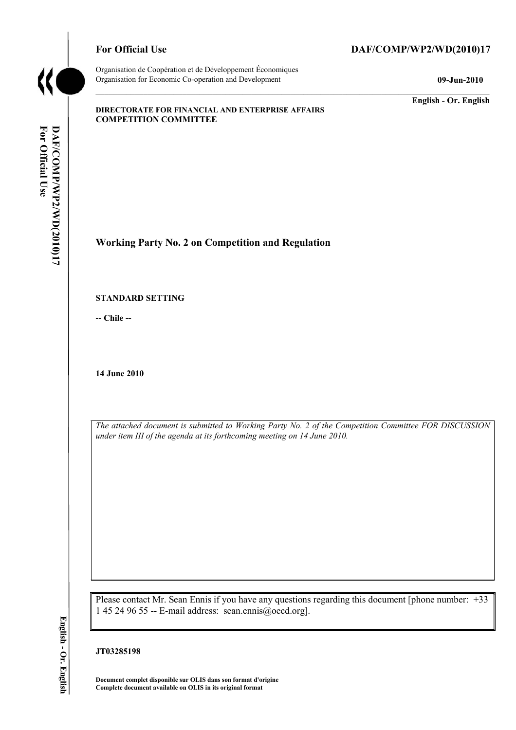

Organisation de Coopération et de Développement Économiques Organisation for Economic Co-operation and Development **09-Jun-2010** 

## For Official Use DAF/COMP/WP2/WD(2010)17

**English - Or. English** 

#### **DIRECTORATE FOR FINANCIAL AND ENTERPRISE AFFAIRS COMPETITION COMMITTEE**

**Working Party No. 2 on Competition and Regulation** 

#### **STANDARD SETTING**

**-- Chile --** 

**14 June 2010** 

*The attached document is submitted to Working Party No. 2 of the Competition Committee FOR DISCUSSION under item III of the agenda at its forthcoming meeting on 14 June 2010.* 

Please contact Mr. Sean Ennis if you have any questions regarding this document [phone number: +33 1 45 24 96 55 -- E-mail address: sean.ennis@oecd.org].

### **JT03285198**

**Document complet disponible sur OLIS dans son format d'origine Complete document available on OLIS in its original format**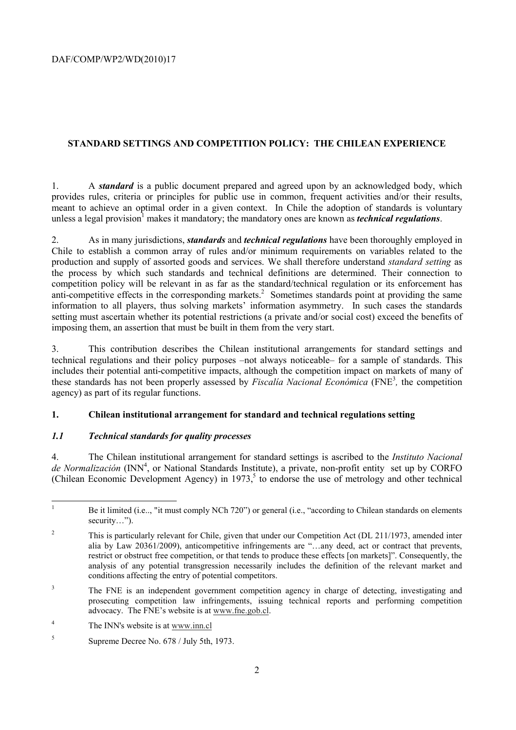## **STANDARD SETTINGS AND COMPETITION POLICY: THE CHILEAN EXPERIENCE**

1. A *standard* is a public document prepared and agreed upon by an acknowledged body, which provides rules, criteria or principles for public use in common, frequent activities and/or their results, meant to achieve an optimal order in a given context. In Chile the adoption of standards is voluntary unless a legal provision<sup>1</sup> makes it mandatory; the mandatory ones are known as *technical regulations*.

2. As in many jurisdictions, *standards* and *technical regulations* have been thoroughly employed in Chile to establish a common array of rules and/or minimum requirements on variables related to the production and supply of assorted goods and services. We shall therefore understand *standard setting* as the process by which such standards and technical definitions are determined. Their connection to competition policy will be relevant in as far as the standard/technical regulation or its enforcement has anti-competitive effects in the corresponding markets.<sup>2</sup> Sometimes standards point at providing the same information to all players, thus solving markets' information asymmetry. In such cases the standards setting must ascertain whether its potential restrictions (a private and/or social cost) exceed the benefits of imposing them, an assertion that must be built in them from the very start.

3. This contribution describes the Chilean institutional arrangements for standard settings and technical regulations and their policy purposes –not always noticeable– for a sample of standards. This includes their potential anti-competitive impacts, although the competition impact on markets of many of these standards has not been properly assessed by *Fiscalía Nacional Económica* (FNE3 *,* the competition agency) as part of its regular functions.

## **1. Chilean institutional arrangement for standard and technical regulations setting**

## *1.1 Technical standards for quality processes*

4. The Chilean institutional arrangement for standard settings is ascribed to the *Instituto Nacional*  de Normalización (INN<sup>4</sup>, or National Standards Institute), a private, non-profit entity set up by CORFO (Chilean Economic Development Agency) in 1973,<sup>5</sup> to endorse the use of metrology and other technical

3 The FNE is an independent government competition agency in charge of detecting, investigating and prosecuting competition law infringements, issuing technical reports and performing competition advocacy. The FNE's website is at www.fne.gob.cl.

 $\frac{1}{1}$  Be it limited (i.e.., "it must comply NCh 720") or general (i.e., "according to Chilean standards on elements security…").

<sup>2</sup> This is particularly relevant for Chile, given that under our Competition Act (DL 211/1973, amended inter alia by Law 20361/2009), anticompetitive infringements are "…any deed, act or contract that prevents, restrict or obstruct free competition, or that tends to produce these effects [on markets]". Consequently, the analysis of any potential transgression necessarily includes the definition of the relevant market and conditions affecting the entry of potential competitors.

<sup>4</sup> The INN's website is at www.inn.cl

<sup>5</sup> Supreme Decree No. 678 / July 5th, 1973.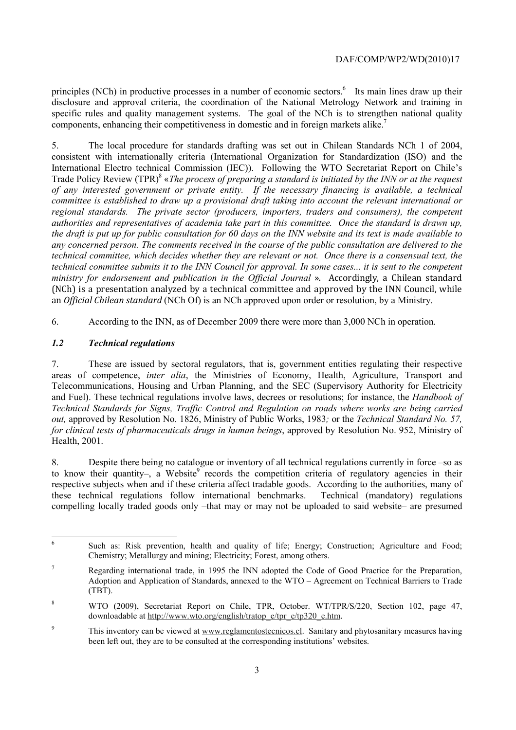principles (NCh) in productive processes in a number of economic sectors.<sup>6</sup> Its main lines draw up their disclosure and approval criteria, the coordination of the National Metrology Network and training in specific rules and quality management systems. The goal of the NCh is to strengthen national quality components, enhancing their competitiveness in domestic and in foreign markets alike.<sup>7</sup>

5. The local procedure for standards drafting was set out in Chilean Standards NCh 1 of 2004, consistent with internationally criteria (International Organization for Standardization (ISO) and the International Electro technical Commission (IEC)). Following the WTO Secretariat Report on Chile's Trade Policy Review (TPR)<sup>8</sup> «*The process of preparing a standard is initiated by the INN or at the request of any interested government or private entity. If the necessary financing is available, a technical committee is established to draw up a provisional draft taking into account the relevant international or regional standards. The private sector (producers, importers, traders and consumers), the competent authorities and representatives of academia take part in this committee. Once the standard is drawn up, the draft is put up for public consultation for 60 days on the INN website and its text is made available to any concerned person. The comments received in the course of the public consultation are delivered to the technical committee, which decides whether they are relevant or not. Once there is a consensual text, the technical committee submits it to the INN Council for approval. In some cases... it is sent to the competent ministry for endorsement and publication in the Official Journal* ». Accordingly, a Chilean standard (NCh) is a presentation analyzed by a technical committee and approved by the INN Council, while an *Official Chilean standard* (NCh Of) is an NCh approved upon order or resolution, by a Ministry.

6. According to the INN, as of December 2009 there were more than 3,000 NCh in operation.

## *1.2 Technical regulations*

7. These are issued by sectoral regulators, that is, government entities regulating their respective areas of competence, *inter alia*, the Ministries of Economy, Health, Agriculture, Transport and Telecommunications, Housing and Urban Planning, and the SEC (Supervisory Authority for Electricity and Fuel). These technical regulations involve laws, decrees or resolutions; for instance, the *Handbook of Technical Standards for Signs, Traffic Control and Regulation on roads where works are being carried out,* approved by Resolution No. 1826, Ministry of Public Works, 1983*;* or the *Technical Standard No. 57, for clinical tests of pharmaceuticals drugs in human beings*, approved by Resolution No. 952, Ministry of Health, 2001.

8. Despite there being no catalogue or inventory of all technical regulations currently in force –so as to know their quantity-, a Website<sup>9</sup> records the competition criteria of regulatory agencies in their respective subjects when and if these criteria affect tradable goods. According to the authorities, many of these technical regulations follow international benchmarks. Technical (mandatory) regulations compelling locally traded goods only –that may or may not be uploaded to said website– are presumed

 6 Such as: Risk prevention, health and quality of life; Energy; Construction; Agriculture and Food; Chemistry; Metallurgy and mining; Electricity; Forest, among others.

<sup>7</sup> Regarding international trade, in 1995 the INN adopted the Code of Good Practice for the Preparation, Adoption and Application of Standards, annexed to the WTO – Agreement on Technical Barriers to Trade (TBT).

<sup>8</sup> WTO (2009), Secretariat Report on Chile, TPR, October. WT/TPR/S/220, Section 102, page 47, downloadable at http://www.wto.org/english/tratop\_e/tpr\_e/tp320\_e.htm.

<sup>9</sup> This inventory can be viewed at www.reglamentostecnicos.cl. Sanitary and phytosanitary measures having been left out, they are to be consulted at the corresponding institutions' websites.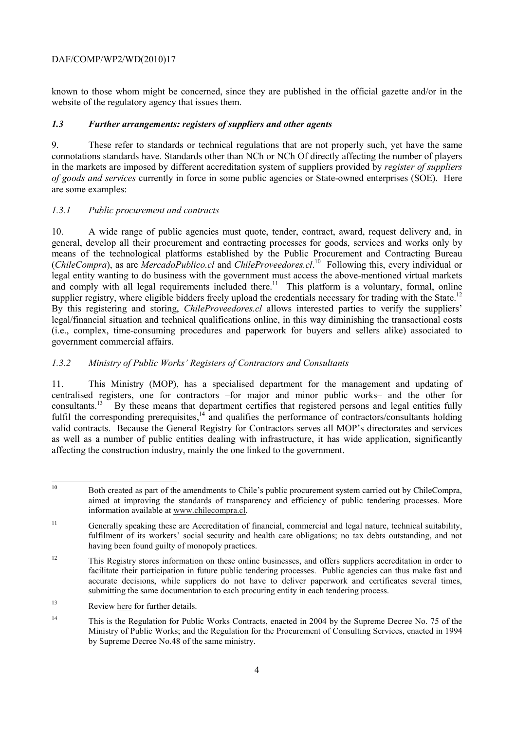### DAF/COMP/WP2/WD(2010)17

known to those whom might be concerned, since they are published in the official gazette and/or in the website of the regulatory agency that issues them.

#### *1.3 Further arrangements: registers of suppliers and other agents*

9. These refer to standards or technical regulations that are not properly such, yet have the same connotations standards have. Standards other than NCh or NCh Of directly affecting the number of players in the markets are imposed by different accreditation system of suppliers provided by *register of suppliers of goods and services* currently in force in some public agencies or State-owned enterprises (SOE). Here are some examples:

### *1.3.1 Public procurement and contracts*

10. A wide range of public agencies must quote, tender, contract, award, request delivery and, in general, develop all their procurement and contracting processes for goods, services and works only by means of the technological platforms established by the Public Procurement and Contracting Bureau (*ChileCompra*), as are *MercadoPublico.cl* and *ChileProveedores.cl*. 10 Following this, every individual or legal entity wanting to do business with the government must access the above-mentioned virtual markets and comply with all legal requirements included there.<sup>11</sup> This platform is a voluntary, formal, online supplier registry, where eligible bidders freely upload the credentials necessary for trading with the State.<sup>12</sup> By this registering and storing, *ChileProveedores.cl* allows interested parties to verify the suppliers' legal/financial situation and technical qualifications online, in this way diminishing the transactional costs (i.e., complex, time-consuming procedures and paperwork for buyers and sellers alike) associated to government commercial affairs.

### *1.3.2 Ministry of Public Works' Registers of Contractors and Consultants*

11. This Ministry (MOP), has a specialised department for the management and updating of centralised registers, one for contractors –for major and minor public works– and the other for consultants.<sup>13</sup> By these means that department certifies that registered persons and legal entities fully fulfil the corresponding prerequisites,<sup>14</sup> and qualifies the performance of contractors/consultants holding valid contracts. Because the General Registry for Contractors serves all MOP's directorates and services as well as a number of public entities dealing with infrastructure, it has wide application, significantly affecting the construction industry, mainly the one linked to the government.

<sup>13</sup> Review here for further details.

 $10$ 10 Both created as part of the amendments to Chile's public procurement system carried out by ChileCompra, aimed at improving the standards of transparency and efficiency of public tendering processes. More information available at www.chilecompra.cl.

<sup>&</sup>lt;sup>11</sup> Generally speaking these are Accreditation of financial, commercial and legal nature, technical suitability, fulfilment of its workers' social security and health care obligations; no tax debts outstanding, and not having been found guilty of monopoly practices.

<sup>&</sup>lt;sup>12</sup> This Registry stores information on these online businesses, and offers suppliers accreditation in order to facilitate their participation in future public tendering processes. Public agencies can thus make fast and accurate decisions, while suppliers do not have to deliver paperwork and certificates several times, submitting the same documentation to each procuring entity in each tendering process.

<sup>&</sup>lt;sup>14</sup> This is the Regulation for Public Works Contracts, enacted in 2004 by the Supreme Decree No. 75 of the Ministry of Public Works; and the Regulation for the Procurement of Consulting Services, enacted in 1994 by Supreme Decree No.48 of the same ministry.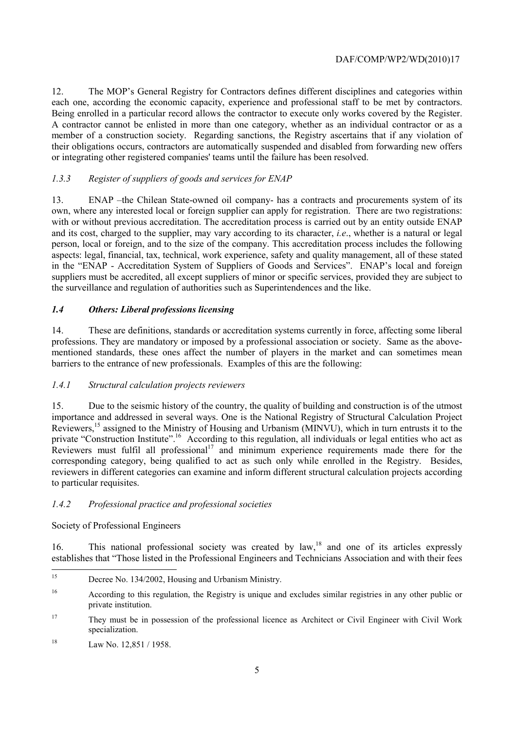12. The MOP's General Registry for Contractors defines different disciplines and categories within each one, according the economic capacity, experience and professional staff to be met by contractors. Being enrolled in a particular record allows the contractor to execute only works covered by the Register. A contractor cannot be enlisted in more than one category, whether as an individual contractor or as a member of a construction society. Regarding sanctions, the Registry ascertains that if any violation of their obligations occurs, contractors are automatically suspended and disabled from forwarding new offers or integrating other registered companies' teams until the failure has been resolved.

## *1.3.3 Register of suppliers of goods and services for ENAP*

13. ENAP –the Chilean State-owned oil company- has a contracts and procurements system of its own, where any interested local or foreign supplier can apply for registration. There are two registrations: with or without previous accreditation. The accreditation process is carried out by an entity outside ENAP and its cost, charged to the supplier, may vary according to its character, *i.e*., whether is a natural or legal person, local or foreign, and to the size of the company. This accreditation process includes the following aspects: legal, financial, tax, technical, work experience, safety and quality management, all of these stated in the "ENAP - Accreditation System of Suppliers of Goods and Services". ENAP's local and foreign suppliers must be accredited, all except suppliers of minor or specific services, provided they are subject to the surveillance and regulation of authorities such as Superintendences and the like.

## *1.4 Others: Liberal professions licensing*

14. These are definitions, standards or accreditation systems currently in force, affecting some liberal professions. They are mandatory or imposed by a professional association or society. Same as the abovementioned standards, these ones affect the number of players in the market and can sometimes mean barriers to the entrance of new professionals. Examples of this are the following:

## *1.4.1 Structural calculation projects reviewers*

15. Due to the seismic history of the country, the quality of building and construction is of the utmost importance and addressed in several ways. One is the National Registry of Structural Calculation Project Reviewers,<sup>15</sup> assigned to the Ministry of Housing and Urbanism (MINVU), which in turn entrusts it to the private "Construction Institute".<sup>16</sup> According to this regulation, all individuals or legal entities who act as Reviewers must fulfil all professional<sup>17</sup> and minimum experience requirements made there for the corresponding category, being qualified to act as such only while enrolled in the Registry. Besides, reviewers in different categories can examine and inform different structural calculation projects according to particular requisites.

## *1.4.2 Professional practice and professional societies*

## Society of Professional Engineers

16. This national professional society was created by law,<sup>18</sup> and one of its articles expressly establishes that "Those listed in the Professional Engineers and Technicians Association and with their fees

 $15$ Decree No. 134/2002, Housing and Urbanism Ministry.

<sup>16</sup> According to this regulation, the Registry is unique and excludes similar registries in any other public or private institution.

<sup>&</sup>lt;sup>17</sup> They must be in possession of the professional licence as Architect or Civil Engineer with Civil Work specialization.

<sup>18</sup> Law No. 12,851 / 1958.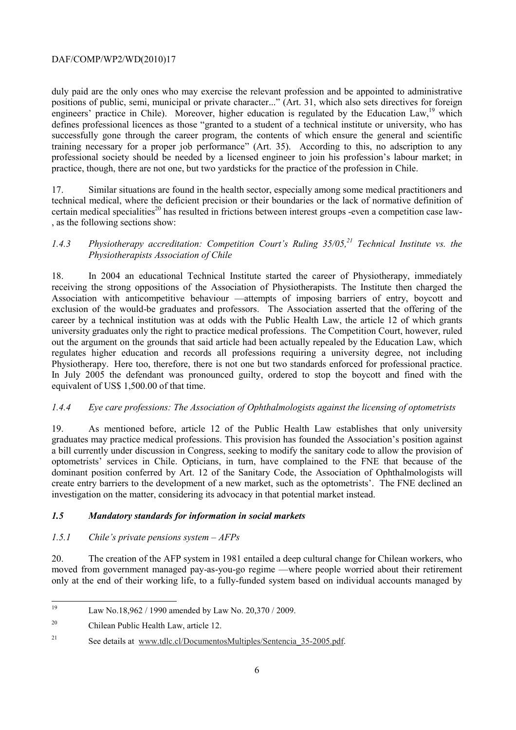### DAF/COMP/WP2/WD(2010)17

duly paid are the only ones who may exercise the relevant profession and be appointed to administrative positions of public, semi, municipal or private character..." (Art. 31, which also sets directives for foreign engineers' practice in Chile). Moreover, higher education is regulated by the Education Law,<sup>19</sup> which defines professional licences as those "granted to a student of a technical institute or university, who has successfully gone through the career program, the contents of which ensure the general and scientific training necessary for a proper job performance" (Art. 35). According to this, no adscription to any professional society should be needed by a licensed engineer to join his profession's labour market; in practice, though, there are not one, but two yardsticks for the practice of the profession in Chile.

17. Similar situations are found in the health sector, especially among some medical practitioners and technical medical, where the deficient precision or their boundaries or the lack of normative definition of certain medical specialities<sup>20</sup> has resulted in frictions between interest groups -even a competition case law-, as the following sections show:

## *1.4.3 Physiotherapy accreditation: Competition Court's Ruling 35/05.<sup>21</sup> Technical Institute vs. the Physiotherapists Association of Chile*

18. In 2004 an educational Technical Institute started the career of Physiotherapy, immediately receiving the strong oppositions of the Association of Physiotherapists. The Institute then charged the Association with anticompetitive behaviour —attempts of imposing barriers of entry, boycott and exclusion of the would-be graduates and professors. The Association asserted that the offering of the career by a technical institution was at odds with the Public Health Law, the article 12 of which grants university graduates only the right to practice medical professions. The Competition Court, however, ruled out the argument on the grounds that said article had been actually repealed by the Education Law, which regulates higher education and records all professions requiring a university degree, not including Physiotherapy. Here too, therefore, there is not one but two standards enforced for professional practice. In July 2005 the defendant was pronounced guilty, ordered to stop the boycott and fined with the equivalent of US\$ 1,500.00 of that time.

## *1.4.4 Eye care professions: The Association of Ophthalmologists against the licensing of optometrists*

19. As mentioned before, article 12 of the Public Health Law establishes that only university graduates may practice medical professions. This provision has founded the Association's position against a bill currently under discussion in Congress, seeking to modify the sanitary code to allow the provision of optometrists' services in Chile. Opticians, in turn, have complained to the FNE that because of the dominant position conferred by Art. 12 of the Sanitary Code, the Association of Ophthalmologists will create entry barriers to the development of a new market, such as the optometrists'. The FNE declined an investigation on the matter, considering its advocacy in that potential market instead.

## *1.5 Mandatory standards for information in social markets*

## *1.5.1 Chile's private pensions system – AFPs*

20. The creation of the AFP system in 1981 entailed a deep cultural change for Chilean workers, who moved from government managed pay-as-you-go regime —where people worried about their retirement only at the end of their working life, to a fully-funded system based on individual accounts managed by

<sup>19</sup> Law No.18,962 / 1990 amended by Law No. 20,370 / 2009.

<sup>20</sup> Chilean Public Health Law, article 12.

<sup>&</sup>lt;sup>21</sup> See details at www.tdlc.cl/DocumentosMultiples/Sentencia 35-2005.pdf.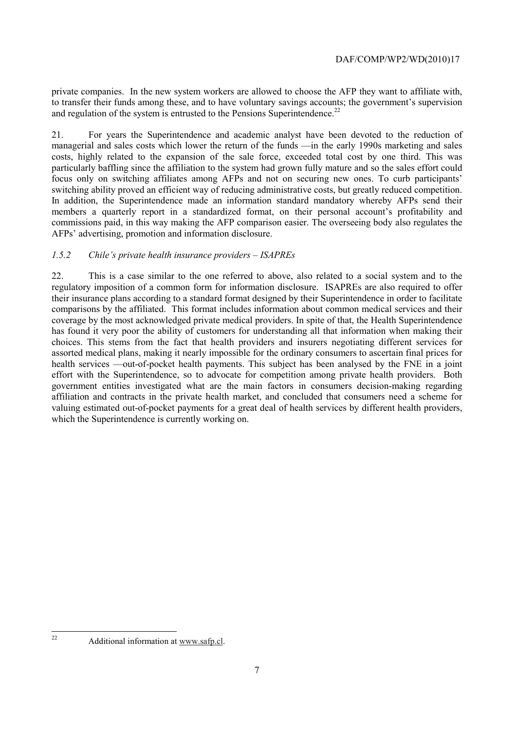private companies. In the new system workers are allowed to choose the AFP they want to affiliate with, to transfer their funds among these, and to have voluntary savings accounts; the government's supervision and regulation of the system is entrusted to the Pensions Superintendence.<sup>22</sup>

21. For years the Superintendence and academic analyst have been devoted to the reduction of managerial and sales costs which lower the return of the funds —in the early 1990s marketing and sales costs, highly related to the expansion of the sale force, exceeded total cost by one third. This was particularly baffling since the affiliation to the system had grown fully mature and so the sales effort could focus only on switching affiliates among AFPs and not on securing new ones. To curb participants' switching ability proved an efficient way of reducing administrative costs, but greatly reduced competition. In addition, the Superintendence made an information standard mandatory whereby AFPs send their members a quarterly report in a standardized format, on their personal account's profitability and commissions paid, in this way making the AFP comparison easier. The overseeing body also regulates the AFPs' advertising, promotion and information disclosure.

## *1.5.2 Chile's private health insurance providers – ISAPREs*

22. This is a case similar to the one referred to above, also related to a social system and to the regulatory imposition of a common form for information disclosure. ISAPREs are also required to offer their insurance plans according to a standard format designed by their Superintendence in order to facilitate comparisons by the affiliated. This format includes information about common medical services and their coverage by the most acknowledged private medical providers. In spite of that, the Health Superintendence has found it very poor the ability of customers for understanding all that information when making their choices. This stems from the fact that health providers and insurers negotiating different services for assorted medical plans, making it nearly impossible for the ordinary consumers to ascertain final prices for health services —out-of-pocket health payments. This subject has been analysed by the FNE in a joint effort with the Superintendence, so to advocate for competition among private health providers. Both government entities investigated what are the main factors in consumers decision-making regarding affiliation and contracts in the private health market, and concluded that consumers need a scheme for valuing estimated out-of-pocket payments for a great deal of health services by different health providers, which the Superintendence is currently working on.

 $22$ 

Additional information at www.safp.cl.